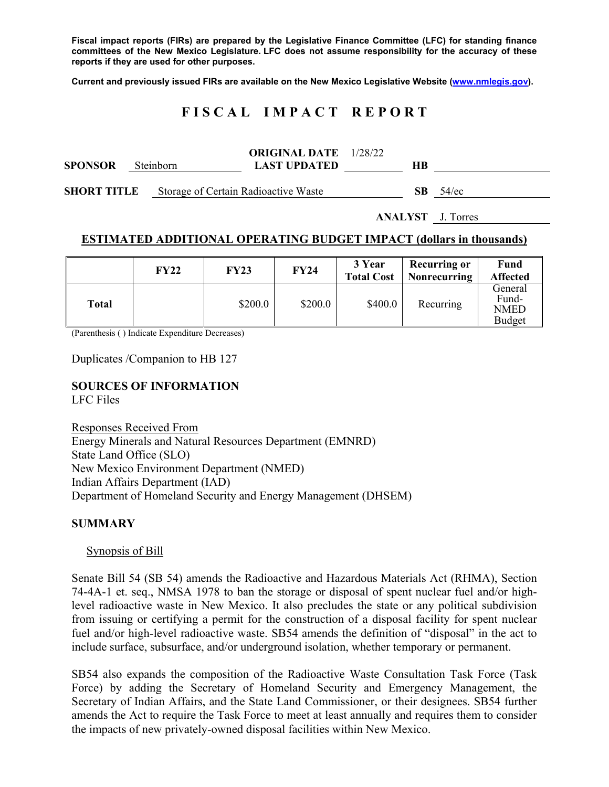**Fiscal impact reports (FIRs) are prepared by the Legislative Finance Committee (LFC) for standing finance committees of the New Mexico Legislature. LFC does not assume responsibility for the accuracy of these reports if they are used for other purposes.** 

**Current and previously issued FIRs are available on the New Mexico Legislative Website (www.nmlegis.gov).** 

## **F I S C A L I M P A C T R E P O R T**

| <b>SPONSOR</b>     | <b>Steinborn</b> |                                      | <b>ORIGINAL DATE</b> 1/28/22<br><b>LAST UPDATED</b> | HВ  |          |
|--------------------|------------------|--------------------------------------|-----------------------------------------------------|-----|----------|
| <b>SHORT TITLE</b> |                  | Storage of Certain Radioactive Waste |                                                     | SB. | $54$ /ec |

**ANALYST** J. Torres

### **ESTIMATED ADDITIONAL OPERATING BUDGET IMPACT (dollars in thousands)**

|       | FY22 | <b>FY23</b> | FY24    | 3 Year<br><b>Total Cost</b> | <b>Recurring or</b><br>Nonrecurring | <b>Fund</b><br><b>Affected</b>                   |
|-------|------|-------------|---------|-----------------------------|-------------------------------------|--------------------------------------------------|
| Total |      | \$200.0     | \$200.0 | \$400.0                     | Recurring                           | General<br>Fund-<br><b>NMED</b><br><b>Budget</b> |

(Parenthesis ( ) Indicate Expenditure Decreases)

Duplicates /Companion to HB 127

# **SOURCES OF INFORMATION**

LFC Files

Responses Received From Energy Minerals and Natural Resources Department (EMNRD) State Land Office (SLO) New Mexico Environment Department (NMED) Indian Affairs Department (IAD) Department of Homeland Security and Energy Management (DHSEM)

### **SUMMARY**

Synopsis of Bill

Senate Bill 54 (SB 54) amends the Radioactive and Hazardous Materials Act (RHMA), Section 74-4A-1 et. seq., NMSA 1978 to ban the storage or disposal of spent nuclear fuel and/or highlevel radioactive waste in New Mexico. It also precludes the state or any political subdivision from issuing or certifying a permit for the construction of a disposal facility for spent nuclear fuel and/or high-level radioactive waste. SB54 amends the definition of "disposal" in the act to include surface, subsurface, and/or underground isolation, whether temporary or permanent.

SB54 also expands the composition of the Radioactive Waste Consultation Task Force (Task Force) by adding the Secretary of Homeland Security and Emergency Management, the Secretary of Indian Affairs, and the State Land Commissioner, or their designees. SB54 further amends the Act to require the Task Force to meet at least annually and requires them to consider the impacts of new privately-owned disposal facilities within New Mexico.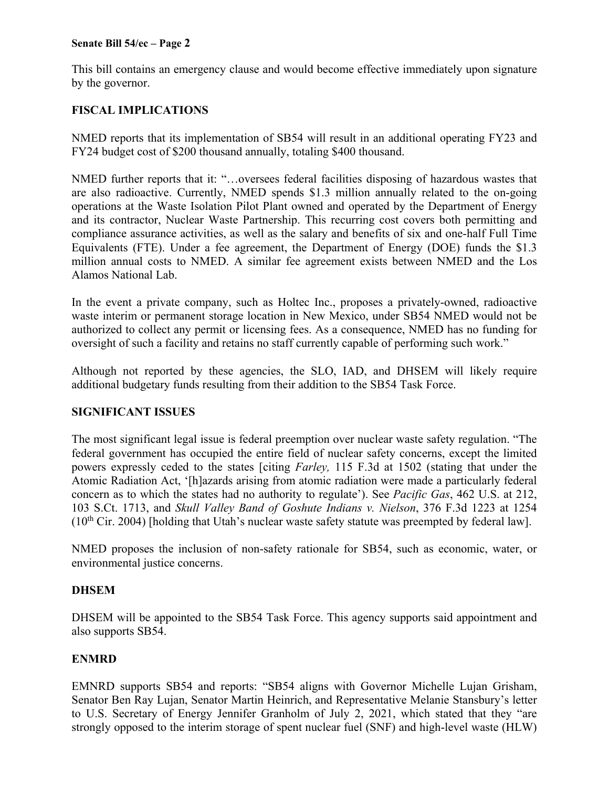#### **Senate Bill 54/ec – Page 2**

This bill contains an emergency clause and would become effective immediately upon signature by the governor.

## **FISCAL IMPLICATIONS**

NMED reports that its implementation of SB54 will result in an additional operating FY23 and FY24 budget cost of \$200 thousand annually, totaling \$400 thousand.

NMED further reports that it: "…oversees federal facilities disposing of hazardous wastes that are also radioactive. Currently, NMED spends \$1.3 million annually related to the on-going operations at the Waste Isolation Pilot Plant owned and operated by the Department of Energy and its contractor, Nuclear Waste Partnership. This recurring cost covers both permitting and compliance assurance activities, as well as the salary and benefits of six and one-half Full Time Equivalents (FTE). Under a fee agreement, the Department of Energy (DOE) funds the \$1.3 million annual costs to NMED. A similar fee agreement exists between NMED and the Los Alamos National Lab.

In the event a private company, such as Holtec Inc., proposes a privately-owned, radioactive waste interim or permanent storage location in New Mexico, under SB54 NMED would not be authorized to collect any permit or licensing fees. As a consequence, NMED has no funding for oversight of such a facility and retains no staff currently capable of performing such work."

Although not reported by these agencies, the SLO, IAD, and DHSEM will likely require additional budgetary funds resulting from their addition to the SB54 Task Force.

### **SIGNIFICANT ISSUES**

The most significant legal issue is federal preemption over nuclear waste safety regulation. "The federal government has occupied the entire field of nuclear safety concerns, except the limited powers expressly ceded to the states [citing *Farley,* 115 F.3d at 1502 (stating that under the Atomic Radiation Act, '[h]azards arising from atomic radiation were made a particularly federal concern as to which the states had no authority to regulate'). See *Pacific Gas*, 462 U.S. at 212, 103 S.Ct. 1713, and *Skull Valley Band of Goshute Indians v. Nielson*, 376 F.3d 1223 at 1254  $(10<sup>th</sup> Cir. 2004)$  [holding that Utah's nuclear waste safety statute was preempted by federal law].

NMED proposes the inclusion of non-safety rationale for SB54, such as economic, water, or environmental justice concerns.

### **DHSEM**

DHSEM will be appointed to the SB54 Task Force. This agency supports said appointment and also supports SB54.

### **ENMRD**

EMNRD supports SB54 and reports: "SB54 aligns with Governor Michelle Lujan Grisham, Senator Ben Ray Lujan, Senator Martin Heinrich, and Representative Melanie Stansbury's letter to U.S. Secretary of Energy Jennifer Granholm of July 2, 2021, which stated that they "are strongly opposed to the interim storage of spent nuclear fuel (SNF) and high-level waste (HLW)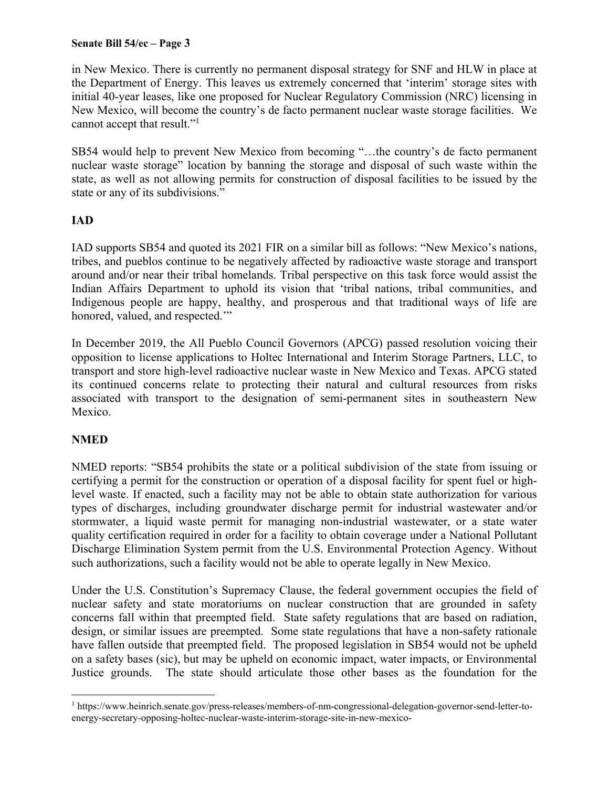### **Senate Bill 54/ec – Page 3**

in New Mexico. There is currently no permanent disposal strategy for SNF and HLW in place at the Department of Energy. This leaves us extremely concerned that 'interim' storage sites with initial 40-year leases, like one proposed for Nuclear Regulatory Commission (NRC) licensing in New Mexico, will become the country's de facto permanent nuclear waste storage facilities. We cannot accept that result."<sup>1</sup>

SB54 would help to prevent New Mexico from becoming "…the country's de facto permanent nuclear waste storage" location by banning the storage and disposal of such waste within the state, as well as not allowing permits for construction of disposal facilities to be issued by the state or any of its subdivisions."

## **IAD**

IAD supports SB54 and quoted its 2021 FIR on a similar bill as follows: "New Mexico's nations, tribes, and pueblos continue to be negatively affected by radioactive waste storage and transport around and/or near their tribal homelands. Tribal perspective on this task force would assist the Indian Affairs Department to uphold its vision that 'tribal nations, tribal communities, and Indigenous people are happy, healthy, and prosperous and that traditional ways of life are honored, valued, and respected.""

In December 2019, the All Pueblo Council Governors (APCG) passed resolution voicing their opposition to license applications to Holtec International and Interim Storage Partners, LLC, to transport and store high-level radioactive nuclear waste in New Mexico and Texas. APCG stated its continued concerns relate to protecting their natural and cultural resources from risks associated with transport to the designation of semi-permanent sites in southeastern New Mexico.

### **NMED**

 $\overline{a}$ 

NMED reports: "SB54 prohibits the state or a political subdivision of the state from issuing or certifying a permit for the construction or operation of a disposal facility for spent fuel or highlevel waste. If enacted, such a facility may not be able to obtain state authorization for various types of discharges, including groundwater discharge permit for industrial wastewater and/or stormwater, a liquid waste permit for managing non-industrial wastewater, or a state water quality certification required in order for a facility to obtain coverage under a National Pollutant Discharge Elimination System permit from the U.S. Environmental Protection Agency. Without such authorizations, such a facility would not be able to operate legally in New Mexico.

Under the U.S. Constitution's Supremacy Clause, the federal government occupies the field of nuclear safety and state moratoriums on nuclear construction that are grounded in safety concerns fall within that preempted field. State safety regulations that are based on radiation, design, or similar issues are preempted. Some state regulations that have a non-safety rationale have fallen outside that preempted field. The proposed legislation in SB54 would not be upheld on a safety bases (sic), but may be upheld on economic impact, water impacts, or Environmental Justice grounds. The state should articulate those other bases as the foundation for the

<sup>&</sup>lt;sup>1</sup> https://www.heinrich.senate.gov/press-releases/members-of-nm-congressional-delegation-governor-send-letter-toenergy-secretary-opposing-holtec-nuclear-waste-interim-storage-site-in-new-mexico-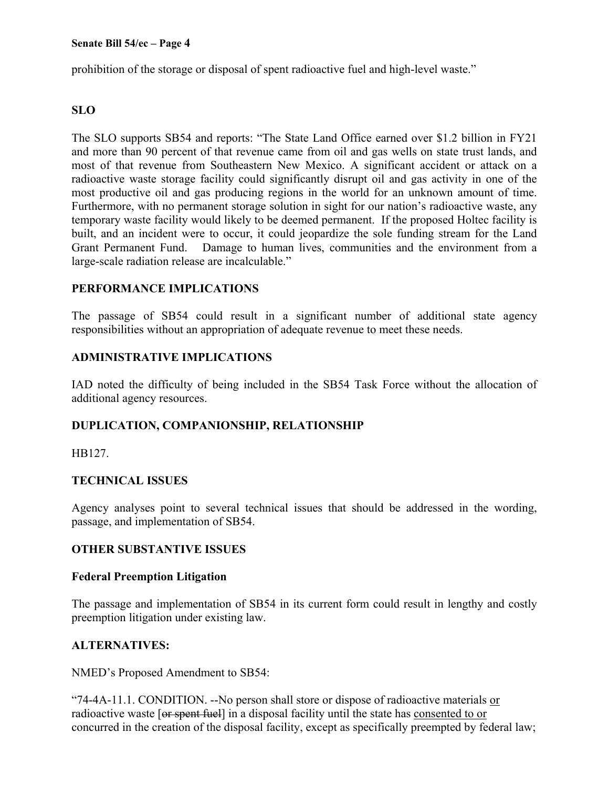prohibition of the storage or disposal of spent radioactive fuel and high-level waste."

## **SLO**

The SLO supports SB54 and reports: "The State Land Office earned over \$1.2 billion in FY21 and more than 90 percent of that revenue came from oil and gas wells on state trust lands, and most of that revenue from Southeastern New Mexico. A significant accident or attack on a radioactive waste storage facility could significantly disrupt oil and gas activity in one of the most productive oil and gas producing regions in the world for an unknown amount of time. Furthermore, with no permanent storage solution in sight for our nation's radioactive waste, any temporary waste facility would likely to be deemed permanent. If the proposed Holtec facility is built, and an incident were to occur, it could jeopardize the sole funding stream for the Land Grant Permanent Fund. Damage to human lives, communities and the environment from a large-scale radiation release are incalculable."

## **PERFORMANCE IMPLICATIONS**

The passage of SB54 could result in a significant number of additional state agency responsibilities without an appropriation of adequate revenue to meet these needs.

## **ADMINISTRATIVE IMPLICATIONS**

IAD noted the difficulty of being included in the SB54 Task Force without the allocation of additional agency resources.

## **DUPLICATION, COMPANIONSHIP, RELATIONSHIP**

HB127.

## **TECHNICAL ISSUES**

Agency analyses point to several technical issues that should be addressed in the wording, passage, and implementation of SB54.

### **OTHER SUBSTANTIVE ISSUES**

### **Federal Preemption Litigation**

The passage and implementation of SB54 in its current form could result in lengthy and costly preemption litigation under existing law.

## **ALTERNATIVES:**

NMED's Proposed Amendment to SB54:

"74-4A-11.1. CONDITION. --No person shall store or dispose of radioactive materials or radioactive waste [or spent fuel] in a disposal facility until the state has consented to or concurred in the creation of the disposal facility, except as specifically preempted by federal law;